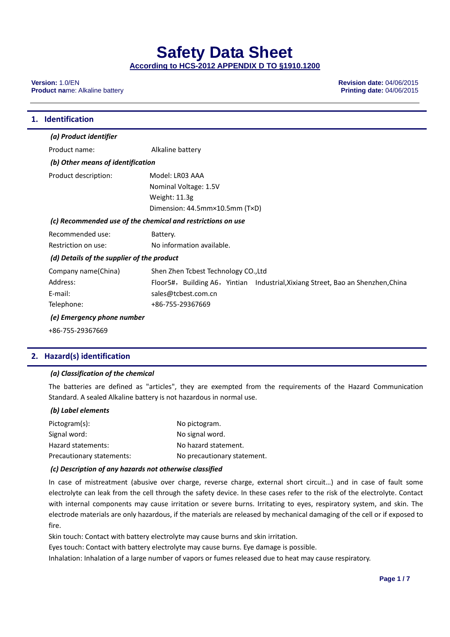**Version:** 1.0/EN **Revision date:** 04/06/2015 **Product name: Alkaline battery** 

| 1. Identification                                           |                                                                                  |  |
|-------------------------------------------------------------|----------------------------------------------------------------------------------|--|
| (a) Product identifier                                      |                                                                                  |  |
| Product name:                                               | Alkaline battery                                                                 |  |
| (b) Other means of identification                           |                                                                                  |  |
| Product description:                                        | Model: LR03 AAA                                                                  |  |
|                                                             | Nominal Voltage: 1.5V                                                            |  |
|                                                             | Weight: 11.3g                                                                    |  |
|                                                             | Dimension: 44.5mm×10.5mm (T×D)                                                   |  |
| (c) Recommended use of the chemical and restrictions on use |                                                                                  |  |
| Recommended use:                                            | Battery.                                                                         |  |
| Restriction on use:                                         | No information available.                                                        |  |
| (d) Details of the supplier of the product                  |                                                                                  |  |
| Company name(China)                                         | Shen Zhen Tcbest Technology CO., Ltd                                             |  |
| Address:                                                    | Floor5#, Building A6, Yintian Industrial, Xixiang Street, Bao an Shenzhen, China |  |
| E-mail:                                                     | sales@tcbest.com.cn                                                              |  |
| Telephone:                                                  | +86-755-29367669                                                                 |  |
| (e) Emergency phone number                                  |                                                                                  |  |
| +86-755-29367669                                            |                                                                                  |  |

# **2. Hazard(s) identification**

## *(a) Classification of the chemical*

The batteries are defined as "articles", they are exempted from the requirements of the Hazard Communication Standard. A sealed Alkaline battery is not hazardous in normal use.

# *(b) Label elements*

| Pictogram(s):             | No pictogram.               |
|---------------------------|-----------------------------|
| Signal word:              | No signal word.             |
| Hazard statements:        | No hazard statement.        |
| Precautionary statements: | No precautionary statement. |

## *(c) Description of any hazards not otherwise classified*

In case of mistreatment (abusive over charge, reverse charge, external short circuit…) and in case of fault some electrolyte can leak from the cell through the safety device. In these cases refer to the risk of the electrolyte. Contact with internal components may cause irritation or severe burns. Irritating to eyes, respiratory system, and skin. The electrode materials are only hazardous, if the materials are released by mechanical damaging of the cell or if exposed to fire.

Skin touch: Contact with battery electrolyte may cause burns and skin irritation.

Eyes touch: Contact with battery electrolyte may cause burns. Eye damage is possible.

Inhalation: Inhalation of a large number of vapors or fumes released due to heat may cause respiratory.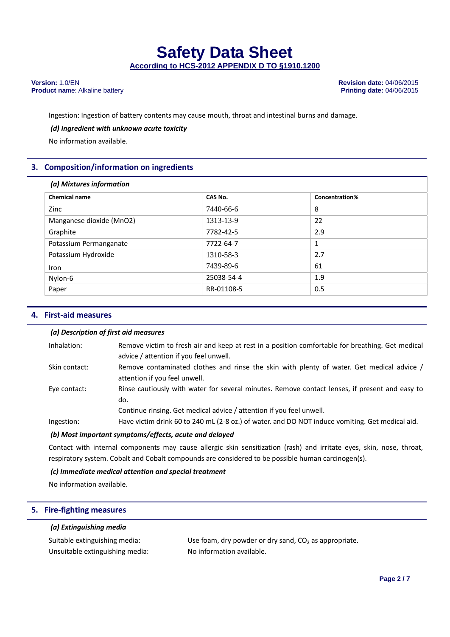Ingestion: Ingestion of battery contents may cause mouth, throat and intestinal burns and damage.

# *(d) Ingredient with unknown acute toxicity*

No information available.

# **3. Composition/information on ingredients**

| (a) Mixtures information |            |                |  |  |
|--------------------------|------------|----------------|--|--|
| <b>Chemical name</b>     | CAS No.    | Concentration% |  |  |
| Zinc                     | 7440-66-6  | 8              |  |  |
| Manganese dioxide (MnO2) | 1313-13-9  | 22             |  |  |
| Graphite                 | 7782-42-5  | 2.9            |  |  |
| Potassium Permanganate   | 7722-64-7  | 1              |  |  |
| Potassium Hydroxide      | 1310-58-3  | 2.7            |  |  |
| <b>Iron</b>              | 7439-89-6  | 61             |  |  |
| Nylon-6                  | 25038-54-4 | 1.9            |  |  |
| Paper                    | RR-01108-5 | 0.5            |  |  |

# **4. First‐aid measures**

## *(a) Description of first aid measures*

| Inhalation:   | Remove victim to fresh air and keep at rest in a position comfortable for breathing. Get medical<br>advice / attention if you feel unwell.                                    |
|---------------|-------------------------------------------------------------------------------------------------------------------------------------------------------------------------------|
| Skin contact: | Remove contaminated clothes and rinse the skin with plenty of water. Get medical advice /<br>attention if you feel unwell.                                                    |
| Eye contact:  | Rinse cautiously with water for several minutes. Remove contact lenses, if present and easy to<br>do.<br>Continue rinsing. Get medical advice / attention if you feel unwell. |
| Ingestion:    | Have victim drink 60 to 240 mL (2-8 oz.) of water. and DO NOT induce vomiting. Get medical aid.                                                                               |
|               |                                                                                                                                                                               |

## *(b) Most important symptoms/effects, acute and delayed*

Contact with internal components may cause allergic skin sensitization (rash) and irritate eyes, skin, nose, throat, respiratory system. Cobalt and Cobalt compounds are considered to be possible human carcinogen(s).

# *(c) Immediate medical attention and special treatment*

No information available.

# **5. Fire‐fighting measures**

# *(a) Extinguishing media*

| Suitable extinguishing media:   | Use foam, dry powder or dry sand, $CO2$ as appropriate. |
|---------------------------------|---------------------------------------------------------|
| Unsuitable extinguishing media: | No information available.                               |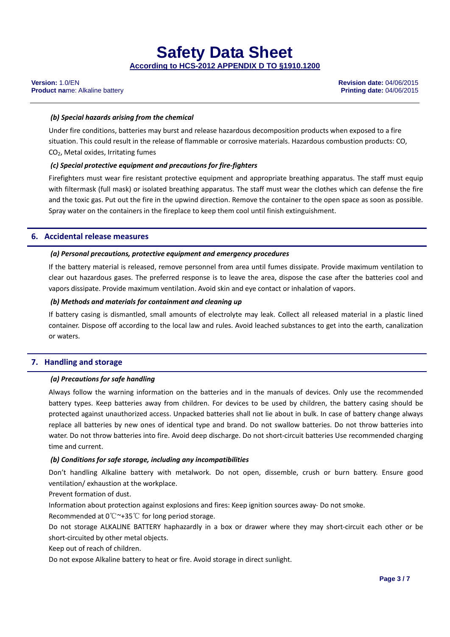# *(b) Special hazards arising from the chemical*

Under fire conditions, batteries may burst and release hazardous decomposition products when exposed to a fire situation. This could result in the release of flammable or corrosive materials. Hazardous combustion products: CO, CO2, Metal oxides, Irritating fumes

# *(c) Special protective equipment and precautions for fire‐fighters*

Firefighters must wear fire resistant protective equipment and appropriate breathing apparatus. The staff must equip with filtermask (full mask) or isolated breathing apparatus. The staff must wear the clothes which can defense the fire and the toxic gas. Put out the fire in the upwind direction. Remove the container to the open space as soon as possible. Spray water on the containers in the fireplace to keep them cool until finish extinguishment.

# **6. Accidental release measures**

## *(a) Personal precautions, protective equipment and emergency procedures*

If the battery material is released, remove personnel from area until fumes dissipate. Provide maximum ventilation to clear out hazardous gases. The preferred response is to leave the area, dispose the case after the batteries cool and vapors dissipate. Provide maximum ventilation. Avoid skin and eye contact or inhalation of vapors.

## *(b) Methods and materials for containment and cleaning up*

If battery casing is dismantled, small amounts of electrolyte may leak. Collect all released material in a plastic lined container. Dispose off according to the local law and rules. Avoid leached substances to get into the earth, canalization or waters.

# **7. Handling and storage**

## *(a) Precautions for safe handling*

Always follow the warning information on the batteries and in the manuals of devices. Only use the recommended battery types. Keep batteries away from children. For devices to be used by children, the battery casing should be protected against unauthorized access. Unpacked batteries shall not lie about in bulk. In case of battery change always replace all batteries by new ones of identical type and brand. Do not swallow batteries. Do not throw batteries into water. Do not throw batteries into fire. Avoid deep discharge. Do not short-circuit batteries Use recommended charging time and current.

## *(b) Conditions for safe storage, including any incompatibilities*

Don't handling Alkaline battery with metalwork. Do not open, dissemble, crush or burn battery. Ensure good ventilation/ exhaustion at the workplace.

Prevent formation of dust.

Information about protection against explosions and fires: Keep ignition sources away‐ Do not smoke.

Recommended at  $0^{\circ}$  ~+35 °C for long period storage.

Do not storage ALKALINE BATTERY haphazardly in a box or drawer where they may short‐circuit each other or be short‐circuited by other metal objects.

Keep out of reach of children.

Do not expose Alkaline battery to heat or fire. Avoid storage in direct sunlight.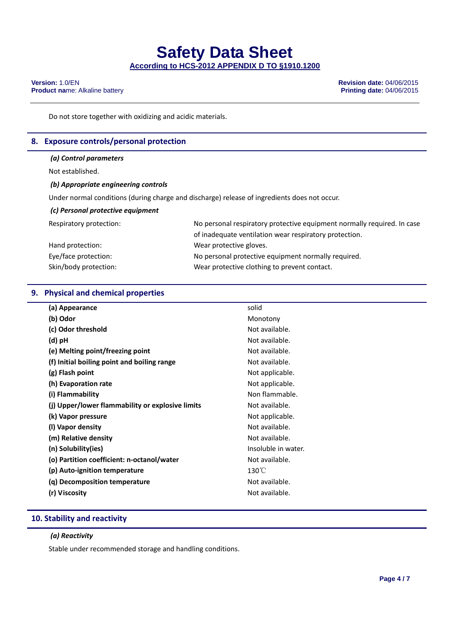**Version:** 1.0/EN **Revision date:** 04/06/2015 **Product name: Alkaline battery** 

Do not store together with oxidizing and acidic materials.

# **8. Exposure controls/personal protection**

### *(a) Control parameters*

Not established.

### *(b) Appropriate engineering controls*

Under normal conditions (during charge and discharge) release of ingredients does not occur.

# *(c) Personal protective equipment*

| Respiratory protection: | No personal respiratory protective equipment normally required. In case |
|-------------------------|-------------------------------------------------------------------------|
|                         | of inadequate ventilation wear respiratory protection.                  |
| Hand protection:        | Wear protective gloves.                                                 |
| Eye/face protection:    | No personal protective equipment normally required.                     |
| Skin/body protection:   | Wear protective clothing to prevent contact.                            |

# **9. Physical and chemical properties**

| (a) Appearance                                   | solid               |
|--------------------------------------------------|---------------------|
| (b) Odor                                         | Monotony            |
| (c) Odor threshold                               | Not available.      |
| (d) pH                                           | Not available.      |
| (e) Melting point/freezing point                 | Not available.      |
| (f) Initial boiling point and boiling range      | Not available.      |
| (g) Flash point                                  | Not applicable.     |
| (h) Evaporation rate                             | Not applicable.     |
| (i) Flammability                                 | Non flammable.      |
| (j) Upper/lower flammability or explosive limits | Not available.      |
| (k) Vapor pressure                               | Not applicable.     |
| (I) Vapor density                                | Not available.      |
| (m) Relative density                             | Not available.      |
| (n) Solubility(ies)                              | Insoluble in water. |
| (o) Partition coefficient: n-octanol/water       | Not available.      |
| (p) Auto-ignition temperature                    | $130^{\circ}$ C     |
| (q) Decomposition temperature                    | Not available.      |
| (r) Viscosity                                    | Not available.      |
|                                                  |                     |

# **10. Stability and reactivity**

# *(a) Reactivity*

Stable under recommended storage and handling conditions.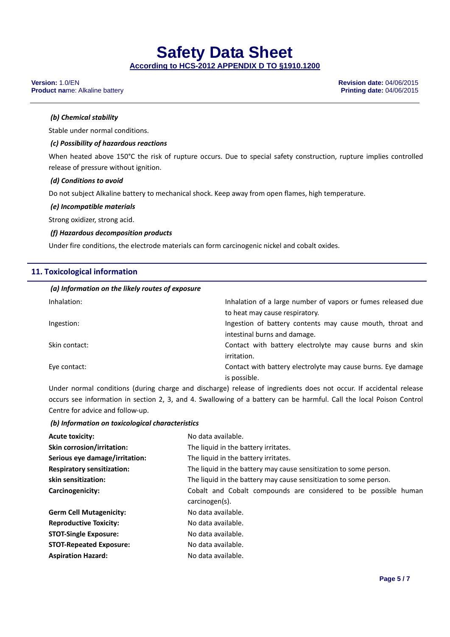# **Safety Data Sheet**

**According to HCS-2012 APPENDIX D TO §1910.1200**

#### **Version:** 1.0/EN **Revision date:** 04/06/2015 **Product name: Alkaline battery**

# *(b) Chemical stability*

Stable under normal conditions.

# *(c) Possibility of hazardous reactions*

When heated above 150°C the risk of rupture occurs. Due to special safety construction, rupture implies controlled release of pressure without ignition.

## *(d) Conditions to avoid*

Do not subject Alkaline battery to mechanical shock. Keep away from open flames, high temperature.

### *(e) Incompatible materials*

Strong oxidizer, strong acid.

## *(f) Hazardous decomposition products*

Under fire conditions, the electrode materials can form carcinogenic nickel and cobalt oxides.

# **11. Toxicological information**

| (a) Information on the likely routes of exposure |                                                              |
|--------------------------------------------------|--------------------------------------------------------------|
| Inhalation:                                      | Inhalation of a large number of vapors or fumes released due |
|                                                  | to heat may cause respiratory.                               |
| Ingestion:                                       | Ingestion of battery contents may cause mouth, throat and    |
|                                                  | intestinal burns and damage.                                 |
| Skin contact:                                    | Contact with battery electrolyte may cause burns and skin    |
|                                                  | irritation.                                                  |
| Eye contact:                                     | Contact with battery electrolyte may cause burns. Eye damage |
|                                                  | is possible.                                                 |

Under normal conditions (during charge and discharge) release of ingredients does not occur. If accidental release occurs see information in section 2, 3, and 4. Swallowing of a battery can be harmful. Call the local Poison Control Centre for advice and follow‐up.

## *(b) Information on toxicological characteristics*

| <b>Acute toxicity:</b>            | No data available.                                                |  |  |
|-----------------------------------|-------------------------------------------------------------------|--|--|
| <b>Skin corrosion/irritation:</b> | The liquid in the battery irritates.                              |  |  |
| Serious eye damage/irritation:    | The liquid in the battery irritates.                              |  |  |
| <b>Respiratory sensitization:</b> | The liquid in the battery may cause sensitization to some person. |  |  |
| skin sensitization:               | The liquid in the battery may cause sensitization to some person. |  |  |
| Carcinogenicity:                  | Cobalt and Cobalt compounds are considered to be possible human   |  |  |
|                                   | carcinogen(s).                                                    |  |  |
| <b>Germ Cell Mutagenicity:</b>    | No data available.                                                |  |  |
| <b>Reproductive Toxicity:</b>     | No data available.                                                |  |  |
| <b>STOT-Single Exposure:</b>      | No data available.                                                |  |  |
| <b>STOT-Repeated Exposure:</b>    | No data available.                                                |  |  |
| <b>Aspiration Hazard:</b>         | No data available.                                                |  |  |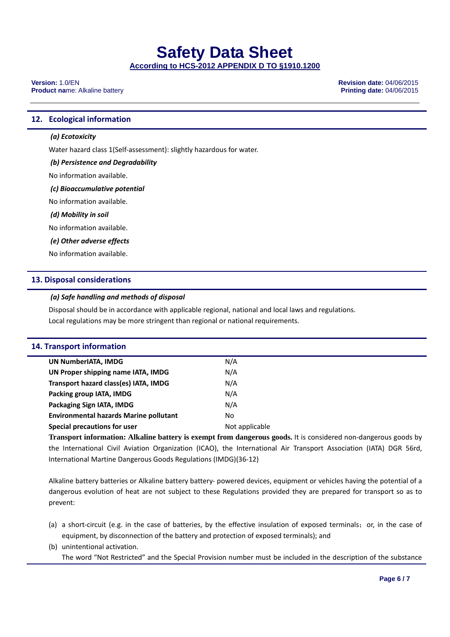**Version:** 1.0/EN **Revision date:** 04/06/2015 **Product name: Alkaline battery** 

# **12. Ecological information**

# *(a) Ecotoxicity*

Water hazard class 1(Self‐assessment): slightly hazardous for water.

## *(b) Persistence and Degradability*

No information available.

### *(c) Bioaccumulative potential*

No information available.

### *(d) Mobility in soil*

No information available.

### *(e) Other adverse effects*

No information available.

# **13. Disposal considerations**

## *(a) Safe handling and methods of disposal*

Disposal should be in accordance with applicable regional, national and local laws and regulations. Local regulations may be more stringent than regional or national requirements.

| 14. Transport information                     |                                                                                                                 |  |  |
|-----------------------------------------------|-----------------------------------------------------------------------------------------------------------------|--|--|
| UN NumberIATA, IMDG                           | N/A                                                                                                             |  |  |
| UN Proper shipping name IATA, IMDG            | N/A                                                                                                             |  |  |
| Transport hazard class(es) IATA, IMDG         | N/A                                                                                                             |  |  |
| Packing group IATA, IMDG                      | N/A                                                                                                             |  |  |
| Packaging Sign IATA, IMDG                     | N/A                                                                                                             |  |  |
| <b>Environmental hazards Marine pollutant</b> | No.                                                                                                             |  |  |
| Special precautions for user                  | Not applicable                                                                                                  |  |  |
|                                               | Transport information: Alkaline battery is exempt from dangerous goods, it is considered non-dangerous goods by |  |  |

**Transport information: Alkaline battery is exempt from dangerous goods.** It is considered non‐dangerous goods by the International Civil Aviation Organization (ICAO), the International Air Transport Association (IATA) DGR 56rd, International Martine Dangerous Goods Regulations (IMDG)(36‐12)

Alkaline battery batteries or Alkaline battery battery‐ powered devices, equipment or vehicles having the potential of a dangerous evolution of heat are not subject to these Regulations provided they are prepared for transport so as to prevent:

(a) a short-circuit (e.g. in the case of batteries, by the effective insulation of exposed terminals; or, in the case of equipment, by disconnection of the battery and protection of exposed terminals); and

(b) unintentional activation.

The word "Not Restricted" and the Special Provision number must be included in the description of the substance